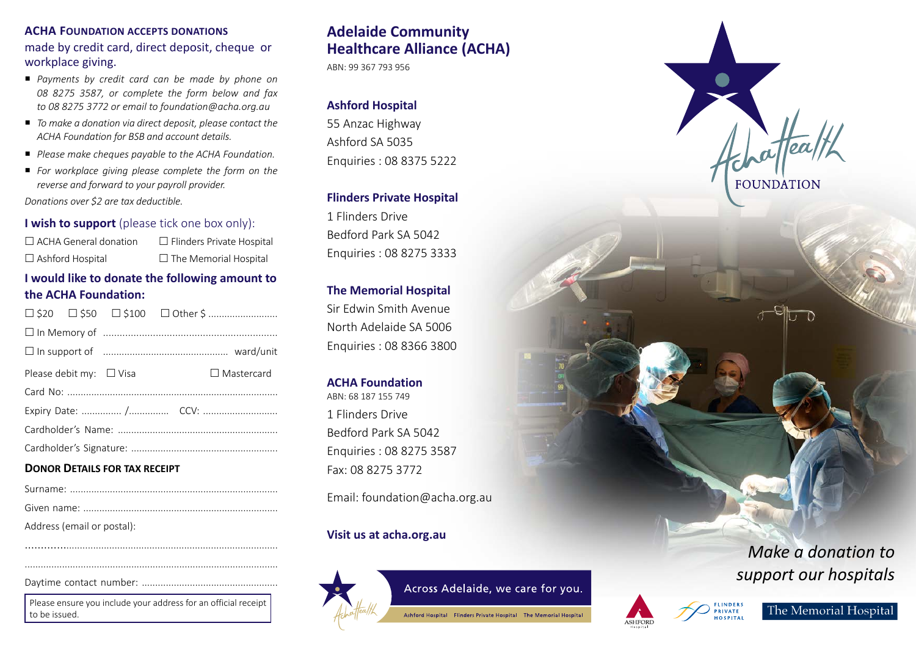#### **ACHA FOUNDATION ACCEPTS DONATIONS**

made by credit card, direct deposit, cheque or workplace giving.

- *Payments by credit card can be made by phone on 08 8275 3587, or complete the form below and fax to 08 8275 3772 or email to foundation@acha.org.au*
- *To make a donation via direct deposit, please contact the ACHA Foundation for BSB and account details.*
- *Please make cheques payable to the ACHA Foundation.*
- *For workplace giving please complete the form on the reverse and forward to your payroll provider.*

*Donations over \$2 are tax deductible.*

### **I wish to support** (please tick one box only):

| $\Box$ ACHA General donation | $\Box$ Flinders Private Hospital |
|------------------------------|----------------------------------|
| $\Box$ Ashford Hospital      | $\Box$ The Memorial Hospital     |

# **I would like to donate the following amount to the ACHA Foundation:**

|  | Please debit my: $\Box$ Visa |  |  | $\Box$ Mastercard |
|--|------------------------------|--|--|-------------------|
|  |                              |  |  |                   |
|  |                              |  |  |                   |
|  |                              |  |  |                   |
|  |                              |  |  |                   |
|  |                              |  |  |                   |

### **DONOR DETAILS FOR TAX RECEIPT**

| Address (email or postal): |
|----------------------------|

Daytime contact number: ...................................................

Please ensure you include your address for an official receipt to be issued.

............................................................................................ ...............................................................................................

# **Adelaide Community Healthcare Alliance (ACHA)**

ABN: 99 367 793 956

# **Ashford Hospital**

55 Anzac Highway Ashford SA 5035 Enquiries : 08 8375 5222

### **Flinders Private Hospital**

1 Flinders Drive Bedford Park SA 5042 Enquiries : 08 8275 3333

## **The Memorial Hospital**

Sir Edwin Smith Avenue North Adelaide SA 5006 Enquiries : 08 8366 3800

## **ACHA Foundation**

ABN: 68 187 155 749 1 Flinders Drive Bedford Park SA 5042 Enquiries : 08 8275 3587 Fax: 08 8275 3772

Email: foundation@acha.org.au

# **Visit us at acha.org.au**



# Across Adelaide, we care for you.

Ashford Hospital Flinders Private Hospital The Memorial Hospital



# *Make a donation to support our hospitals*